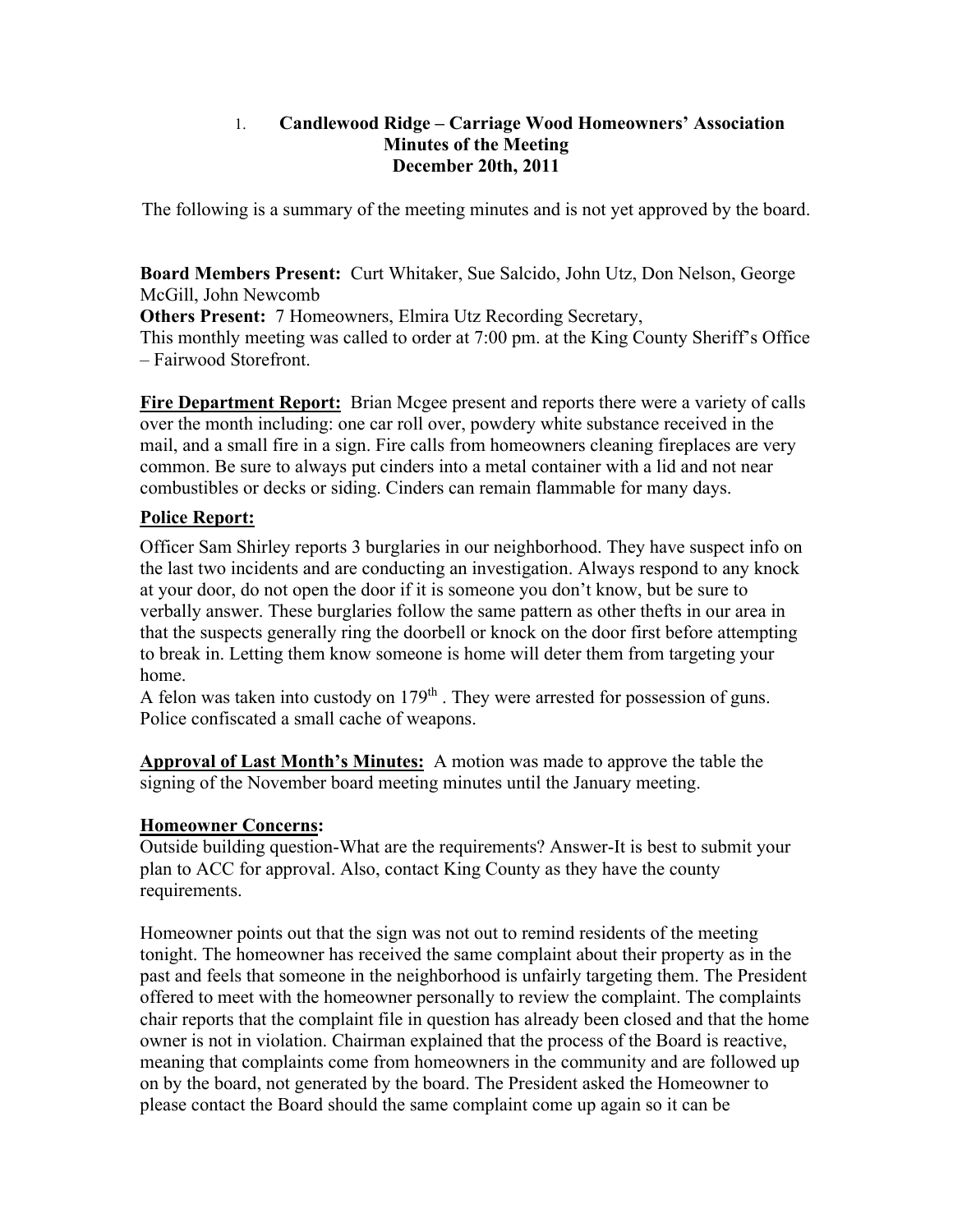#### 1. **Candlewood Ridge – Carriage Wood Homeowners' Association Minutes of the Meeting December 20th, 2011**

The following is a summary of the meeting minutes and is not yet approved by the board.

**Board Members Present:** Curt Whitaker, Sue Salcido, John Utz, Don Nelson, George McGill, John Newcomb

**Others Present:** 7 Homeowners, Elmira Utz Recording Secretary, This monthly meeting was called to order at 7:00 pm. at the King County Sheriff's Office – Fairwood Storefront.

**Fire Department Report:** Brian Mcgee present and reports there were a variety of calls over the month including: one car roll over, powdery white substance received in the mail, and a small fire in a sign. Fire calls from homeowners cleaning fireplaces are very common. Be sure to always put cinders into a metal container with a lid and not near combustibles or decks or siding. Cinders can remain flammable for many days.

# **Police Report:**

Officer Sam Shirley reports 3 burglaries in our neighborhood. They have suspect info on the last two incidents and are conducting an investigation. Always respond to any knock at your door, do not open the door if it is someone you don't know, but be sure to verbally answer. These burglaries follow the same pattern as other thefts in our area in that the suspects generally ring the doorbell or knock on the door first before attempting to break in. Letting them know someone is home will deter them from targeting your home.

A felon was taken into custody on  $179<sup>th</sup>$ . They were arrested for possession of guns. Police confiscated a small cache of weapons.

**Approval of Last Month's Minutes:** A motion was made to approve the table the signing of the November board meeting minutes until the January meeting.

# **Homeowner Concerns:**

Outside building question-What are the requirements? Answer-It is best to submit your plan to ACC for approval. Also, contact King County as they have the county requirements.

Homeowner points out that the sign was not out to remind residents of the meeting tonight. The homeowner has received the same complaint about their property as in the past and feels that someone in the neighborhood is unfairly targeting them. The President offered to meet with the homeowner personally to review the complaint. The complaints chair reports that the complaint file in question has already been closed and that the home owner is not in violation. Chairman explained that the process of the Board is reactive, meaning that complaints come from homeowners in the community and are followed up on by the board, not generated by the board. The President asked the Homeowner to please contact the Board should the same complaint come up again so it can be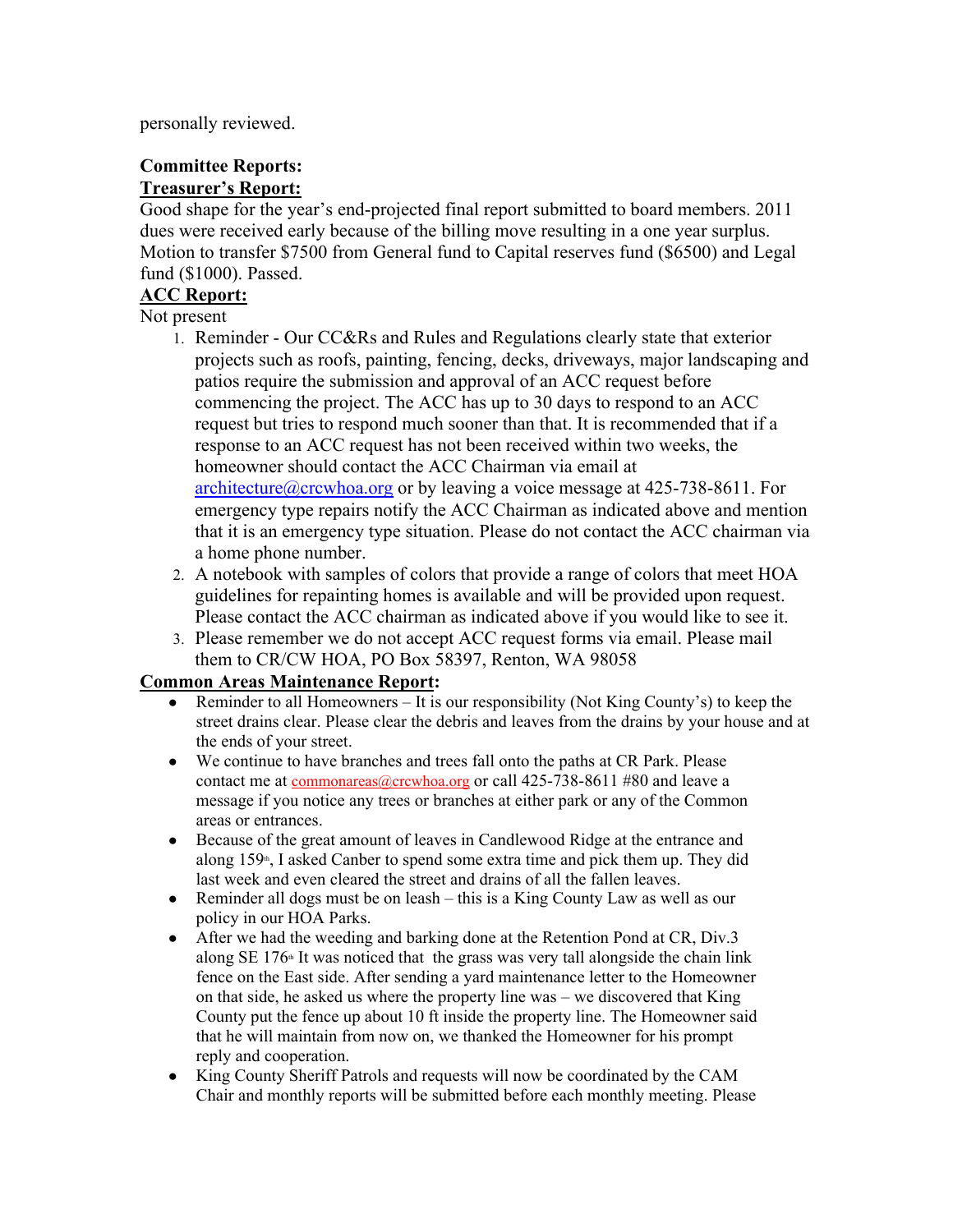personally reviewed.

#### **Committee Reports: Treasurer's Report:**

Good shape for the year's end-projected final report submitted to board members. 2011 dues were received early because of the billing move resulting in a one year surplus. Motion to transfer \$7500 from General fund to Capital reserves fund (\$6500) and Legal fund (\$1000). Passed.

# **ACC Report:**

Not present

- 1. Reminder Our CC&Rs and Rules and Regulations clearly state that exterior projects such as roofs, painting, fencing, decks, driveways, major landscaping and patios require the submission and approval of an ACC request before commencing the project. The ACC has up to 30 days to respond to an ACC request but tries to respond much sooner than that. It is recommended that if a response to an ACC request has not been received within two weeks, the homeowner should contact the ACC Chairman via email at architecture@crcwhoa.org or by leaving a voice message at 425-738-8611. For emergency type repairs notify the ACC Chairman as indicated above and mention that it is an emergency type situation. Please do not contact the ACC chairman via a home phone number.
- 2. A notebook with samples of colors that provide a range of colors that meet HOA guidelines for repainting homes is available and will be provided upon request. Please contact the ACC chairman as indicated above if you would like to see it.
- 3. Please remember we do not accept ACC request forms via email. Please mail them to CR/CW HOA, PO Box 58397, Renton, WA 98058

# **Common Areas Maintenance Report:**

- Reminder to all Homeowners It is our responsibility (Not King County's) to keep the street drains clear. Please clear the debris and leaves from the drains by your house and at the ends of your street.
- We continue to have branches and trees fall onto the paths at CR Park. Please contact me at commonareas@crcwhoa.org or call 425-738-8611 #80 and leave a message if you notice any trees or branches at either park or any of the Common areas or entrances.
- Because of the great amount of leaves in Candlewood Ridge at the entrance and along  $159<sup>th</sup>$ , I asked Canber to spend some extra time and pick them up. They did last week and even cleared the street and drains of all the fallen leaves.
- Reminder all dogs must be on leash this is a King County Law as well as our policy in our HOA Parks.
- After we had the weeding and barking done at the Retention Pond at CR, Div.3 along SE  $176<sup>th</sup>$  It was noticed that the grass was very tall alongside the chain link fence on the East side. After sending a yard maintenance letter to the Homeowner on that side, he asked us where the property line was – we discovered that King County put the fence up about 10 ft inside the property line. The Homeowner said that he will maintain from now on, we thanked the Homeowner for his prompt reply and cooperation.
- King County Sheriff Patrols and requests will now be coordinated by the CAM Chair and monthly reports will be submitted before each monthly meeting. Please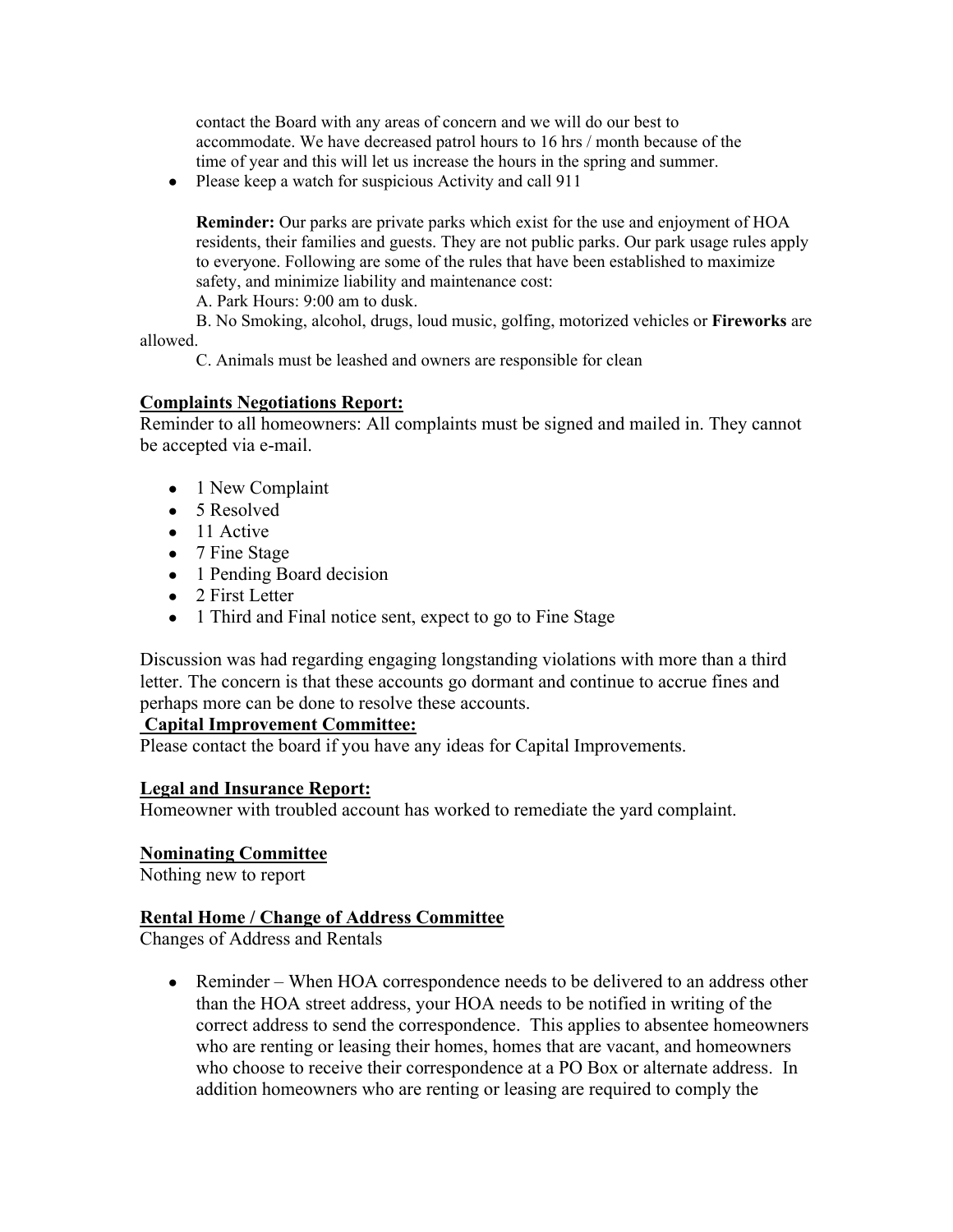contact the Board with any areas of concern and we will do our best to accommodate. We have decreased patrol hours to 16 hrs / month because of the time of year and this will let us increase the hours in the spring and summer.

• Please keep a watch for suspicious Activity and call 911

**Reminder:** Our parks are private parks which exist for the use and enjoyment of HOA residents, their families and guests. They are not public parks. Our park usage rules apply to everyone. Following are some of the rules that have been established to maximize safety, and minimize liability and maintenance cost:

A. Park Hours: 9:00 am to dusk.

B. No Smoking, alcohol, drugs, loud music, golfing, motorized vehicles or **Fireworks** are allowed.

C. Animals must be leashed and owners are responsible for clean

# **Complaints Negotiations Report:**

Reminder to all homeowners: All complaints must be signed and mailed in. They cannot be accepted via e-mail.

- 1 New Complaint
- $\bullet$  5 Resolved
- 11 Active
- 7 Fine Stage
- 1 Pending Board decision
- $\bullet$  2 First Letter
- 1 Third and Final notice sent, expect to go to Fine Stage

Discussion was had regarding engaging longstanding violations with more than a third letter. The concern is that these accounts go dormant and continue to accrue fines and perhaps more can be done to resolve these accounts.

# **Capital Improvement Committee:**

Please contact the board if you have any ideas for Capital Improvements.

# **Legal and Insurance Report:**

Homeowner with troubled account has worked to remediate the yard complaint.

# **Nominating Committee**

Nothing new to report

# **Rental Home / Change of Address Committee**

Changes of Address and Rentals

• Reminder – When HOA correspondence needs to be delivered to an address other than the HOA street address, your HOA needs to be notified in writing of the correct address to send the correspondence. This applies to absentee homeowners who are renting or leasing their homes, homes that are vacant, and homeowners who choose to receive their correspondence at a PO Box or alternate address. In addition homeowners who are renting or leasing are required to comply the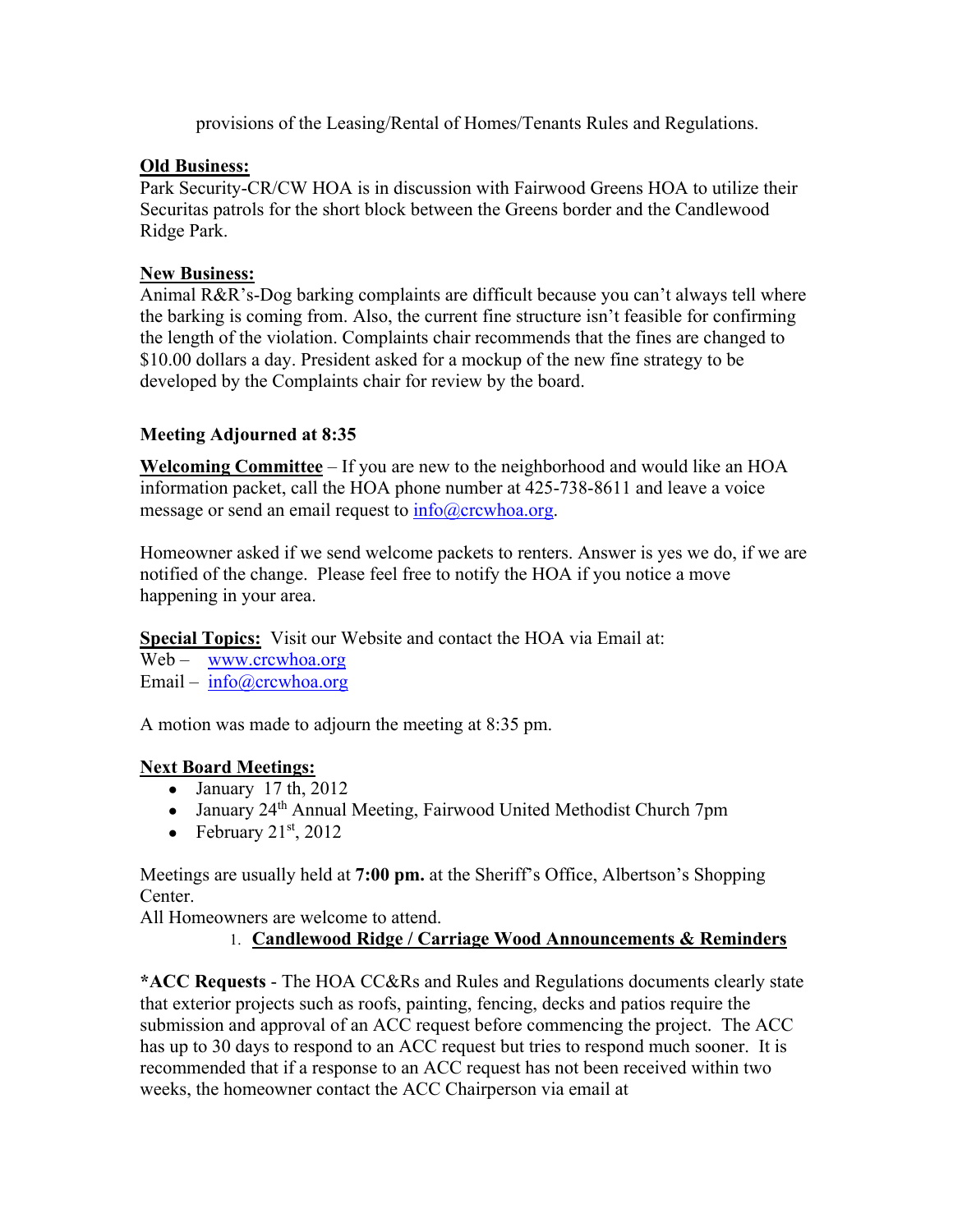provisions of the Leasing/Rental of Homes/Tenants Rules and Regulations.

#### **Old Business:**

Park Security-CR/CW HOA is in discussion with Fairwood Greens HOA to utilize their Securitas patrols for the short block between the Greens border and the Candlewood Ridge Park.

#### **New Business:**

Animal R&R's-Dog barking complaints are difficult because you can't always tell where the barking is coming from. Also, the current fine structure isn't feasible for confirming the length of the violation. Complaints chair recommends that the fines are changed to \$10.00 dollars a day. President asked for a mockup of the new fine strategy to be developed by the Complaints chair for review by the board.

# **Meeting Adjourned at 8:35**

**Welcoming Committee** – If you are new to the neighborhood and would like an HOA information packet, call the HOA phone number at 425-738-8611 and leave a voice message or send an email request to info@crcwhoa.org.

Homeowner asked if we send welcome packets to renters. Answer is yes we do, if we are notified of the change. Please feel free to notify the HOA if you notice a move happening in your area.

**Special Topics:** Visit our Website and contact the HOA via Email at:

Web – www.crcwhoa.org

Email – info@crcwhoa.org

A motion was made to adjourn the meeting at 8:35 pm.

# **Next Board Meetings:**

- $\bullet$  January 17 th, 2012
- January 24<sup>th</sup> Annual Meeting, Fairwood United Methodist Church 7pm
- February  $21<sup>st</sup>$ ,  $2012$

Meetings are usually held at **7:00 pm.** at the Sheriff's Office, Albertson's Shopping Center.

All Homeowners are welcome to attend.

# 1. **Candlewood Ridge / Carriage Wood Announcements & Reminders**

**\*ACC Requests** - The HOA CC&Rs and Rules and Regulations documents clearly state that exterior projects such as roofs, painting, fencing, decks and patios require the submission and approval of an ACC request before commencing the project. The ACC has up to 30 days to respond to an ACC request but tries to respond much sooner. It is recommended that if a response to an ACC request has not been received within two weeks, the homeowner contact the ACC Chairperson via email at